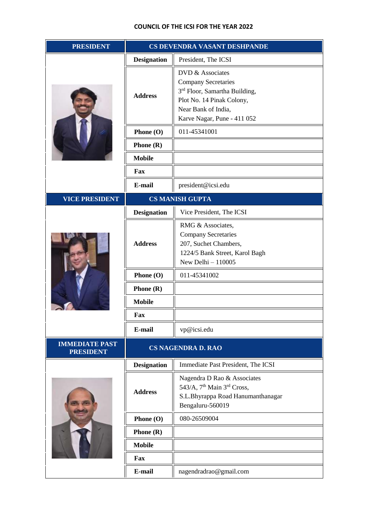| <b>PRESIDENT</b>                          | CS DEVENDRA VASANT DESHPANDE |                                                                                                                                                                    |
|-------------------------------------------|------------------------------|--------------------------------------------------------------------------------------------------------------------------------------------------------------------|
|                                           | <b>Designation</b>           | President, The ICSI                                                                                                                                                |
|                                           | <b>Address</b>               | DVD & Associates<br><b>Company Secretaries</b><br>3rd Floor, Samartha Building,<br>Plot No. 14 Pinak Colony,<br>Near Bank of India,<br>Karve Nagar, Pune - 411 052 |
|                                           | Phone (O)                    | 011-45341001                                                                                                                                                       |
|                                           | Phone $(R)$                  |                                                                                                                                                                    |
|                                           | <b>Mobile</b>                |                                                                                                                                                                    |
|                                           | Fax                          |                                                                                                                                                                    |
|                                           | E-mail                       | president@icsi.edu                                                                                                                                                 |
| <b>VICE PRESIDENT</b>                     | <b>CS MANISH GUPTA</b>       |                                                                                                                                                                    |
|                                           | <b>Designation</b>           | Vice President, The ICSI                                                                                                                                           |
|                                           | <b>Address</b>               | RMG & Associates,<br><b>Company Secretaries</b><br>207, Suchet Chambers,<br>1224/5 Bank Street, Karol Bagh<br>New Delhi $-110005$                                  |
|                                           | Phone (O)                    | 011-45341002                                                                                                                                                       |
|                                           | Phone (R)                    |                                                                                                                                                                    |
|                                           | <b>Mobile</b>                |                                                                                                                                                                    |
|                                           | Fax                          |                                                                                                                                                                    |
|                                           | E-mail                       | vp@icsi.edu                                                                                                                                                        |
| <b>IMMEDIATE PAST</b><br><b>PRESIDENT</b> | CS NAGENDRA D. RAO           |                                                                                                                                                                    |
|                                           | <b>Designation</b>           | Immediate Past President, The ICSI                                                                                                                                 |
|                                           | <b>Address</b>               | Nagendra D Rao & Associates<br>543/A, 7 <sup>th</sup> Main 3 <sup>rd</sup> Cross,<br>S.L.Bhyrappa Road Hanumanthanagar<br>Bengaluru-560019                         |
|                                           | Phone (O)                    | 080-26509004                                                                                                                                                       |
|                                           | Phone (R)                    |                                                                                                                                                                    |
|                                           | <b>Mobile</b>                |                                                                                                                                                                    |
|                                           | Fax                          |                                                                                                                                                                    |
|                                           | E-mail                       | nagendradrao@gmail.com                                                                                                                                             |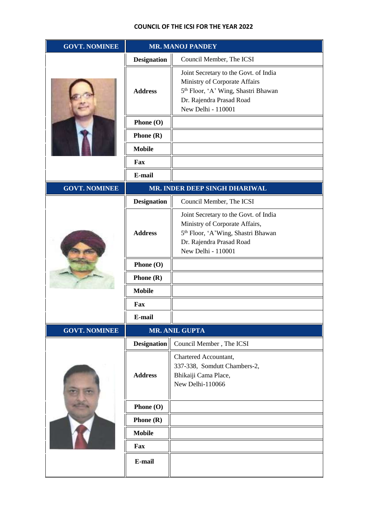| <b>GOVT. NOMINEE</b> | <b>MR. MANOJ PANDEY</b> |                                                                                                                                                                             |
|----------------------|-------------------------|-----------------------------------------------------------------------------------------------------------------------------------------------------------------------------|
|                      | <b>Designation</b>      | Council Member, The ICSI                                                                                                                                                    |
|                      | <b>Address</b>          | Joint Secretary to the Govt. of India<br>Ministry of Corporate Affairs<br>5 <sup>th</sup> Floor, 'A' Wing, Shastri Bhawan<br>Dr. Rajendra Prasad Road<br>New Delhi - 110001 |
|                      | Phone (O)               |                                                                                                                                                                             |
|                      | Phone $(R)$             |                                                                                                                                                                             |
|                      | <b>Mobile</b>           |                                                                                                                                                                             |
|                      | Fax                     |                                                                                                                                                                             |
|                      | E-mail                  |                                                                                                                                                                             |
| <b>GOVT. NOMINEE</b> |                         | MR. INDER DEEP SINGH DHARIWAL                                                                                                                                               |
|                      | <b>Designation</b>      | Council Member, The ICSI                                                                                                                                                    |
|                      | <b>Address</b>          | Joint Secretary to the Govt. of India<br>Ministry of Corporate Affairs,<br>5 <sup>th</sup> Floor, 'A'Wing, Shastri Bhawan<br>Dr. Rajendra Prasad Road<br>New Delhi - 110001 |
|                      | Phone (O)               |                                                                                                                                                                             |
|                      | Phone $(R)$             |                                                                                                                                                                             |
|                      | <b>Mobile</b>           |                                                                                                                                                                             |
|                      | Fax                     |                                                                                                                                                                             |
|                      | E-mail                  |                                                                                                                                                                             |
| <b>GOVT. NOMINEE</b> |                         | MR. ANIL GUPTA                                                                                                                                                              |
|                      | <b>Designation</b>      | Council Member, The ICSI                                                                                                                                                    |
|                      | <b>Address</b>          | Chartered Accountant,<br>337-338, Somdutt Chambers-2,<br>Bhikaiji Cama Place,<br>New Delhi-110066                                                                           |
|                      | Phone (O)               |                                                                                                                                                                             |
|                      | Phone $(R)$             |                                                                                                                                                                             |
|                      | <b>Mobile</b>           |                                                                                                                                                                             |
|                      | Fax                     |                                                                                                                                                                             |
|                      | E-mail                  |                                                                                                                                                                             |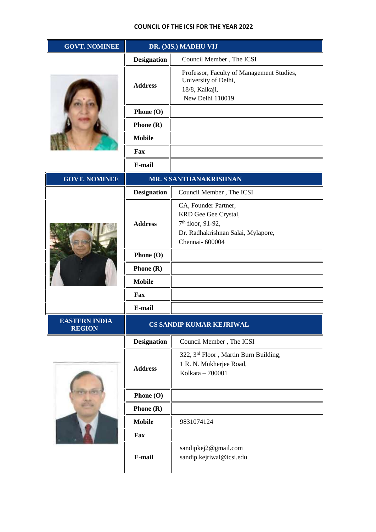| <b>GOVT. NOMINEE</b>                  | DR. (MS.) MADHU VIJ      |                                                                                                                                       |
|---------------------------------------|--------------------------|---------------------------------------------------------------------------------------------------------------------------------------|
|                                       | <b>Designation</b>       | Council Member, The ICSI                                                                                                              |
|                                       | <b>Address</b>           | Professor, Faculty of Management Studies,<br>University of Delhi,<br>18/8, Kalkaji,<br>New Delhi 110019                               |
|                                       | Phone (O)                |                                                                                                                                       |
|                                       | Phone $(R)$              |                                                                                                                                       |
|                                       | <b>Mobile</b>            |                                                                                                                                       |
|                                       | Fax                      |                                                                                                                                       |
|                                       | E-mail                   |                                                                                                                                       |
| <b>GOVT. NOMINEE</b>                  |                          | MR. S SANTHANAKRISHNAN                                                                                                                |
|                                       | <b>Designation</b>       | Council Member, The ICSI                                                                                                              |
|                                       | <b>Address</b>           | CA, Founder Partner,<br>KRD Gee Gee Crystal,<br>7 <sup>th</sup> floor, 91-92,<br>Dr. Radhakrishnan Salai, Mylapore,<br>Chennai-600004 |
|                                       | Phone (O)                |                                                                                                                                       |
|                                       | Phone $(R)$              |                                                                                                                                       |
|                                       | <b>Mobile</b>            |                                                                                                                                       |
|                                       | Fax                      |                                                                                                                                       |
|                                       | E-mail                   |                                                                                                                                       |
| <b>EASTERN INDIA</b><br><b>REGION</b> | CS SANDIP KUMAR KEJRIWAL |                                                                                                                                       |
|                                       | <b>Designation</b>       | Council Member, The ICSI                                                                                                              |
|                                       | <b>Address</b>           | 322, 3rd Floor, Martin Burn Building,<br>1 R. N. Mukherjee Road,<br>Kolkata - 700001                                                  |
|                                       | Phone (O)                |                                                                                                                                       |
|                                       | Phone $(R)$              |                                                                                                                                       |
|                                       | <b>Mobile</b>            | 9831074124                                                                                                                            |
|                                       | Fax                      |                                                                                                                                       |
|                                       | E-mail                   | sandipkej2@gmail.com<br>sandip.kejriwal@icsi.edu                                                                                      |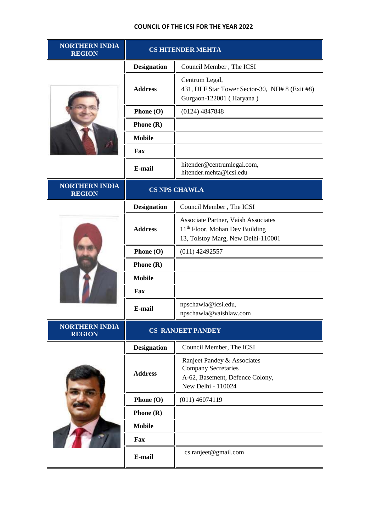| <b>NORTHERN INDIA</b><br><b>REGION</b> | <b>CS HITENDER MEHTA</b> |                                                                                                                         |
|----------------------------------------|--------------------------|-------------------------------------------------------------------------------------------------------------------------|
|                                        | <b>Designation</b>       | Council Member, The ICSI                                                                                                |
|                                        | <b>Address</b>           | Centrum Legal,<br>431, DLF Star Tower Sector-30, NH# 8 (Exit #8)<br>Gurgaon-122001 (Haryana)                            |
|                                        | Phone $(O)$              | $(0124)$ 4847848                                                                                                        |
|                                        | Phone (R)                |                                                                                                                         |
|                                        | <b>Mobile</b>            |                                                                                                                         |
|                                        | Fax                      |                                                                                                                         |
|                                        | E-mail                   | hitender@centrumlegal.com,<br>hitender.mehta@icsi.edu                                                                   |
| <b>NORTHERN INDIA</b><br><b>REGION</b> | <b>CS NPS CHAWLA</b>     |                                                                                                                         |
|                                        | <b>Designation</b>       | Council Member, The ICSI                                                                                                |
|                                        | <b>Address</b>           | Associate Partner, Vaish Associates<br>11 <sup>th</sup> Floor, Mohan Dev Building<br>13, Tolstoy Marg, New Delhi-110001 |
|                                        | Phone (O)                | $(011)$ 42492557                                                                                                        |
|                                        | Phone $(R)$              |                                                                                                                         |
|                                        | <b>Mobile</b>            |                                                                                                                         |
|                                        | Fax                      |                                                                                                                         |
|                                        | E-mail                   | npschawla@icsi.edu,<br>npschawla@vaishlaw.com                                                                           |
| <b>NORTHERN INDIA</b><br><b>REGION</b> | <b>CS RANJEET PANDEY</b> |                                                                                                                         |
|                                        | <b>Designation</b>       | Council Member, The ICSI                                                                                                |
|                                        | <b>Address</b>           | Ranjeet Pandey & Associates<br><b>Company Secretaries</b><br>A-62, Basement, Defence Colony,<br>New Delhi - 110024      |
|                                        | Phone $(O)$              | $(011)$ 46074119                                                                                                        |
|                                        | Phone (R)                |                                                                                                                         |
|                                        | <b>Mobile</b>            |                                                                                                                         |
|                                        | Fax                      |                                                                                                                         |
|                                        | E-mail                   | cs.ranjeet@gmail.com                                                                                                    |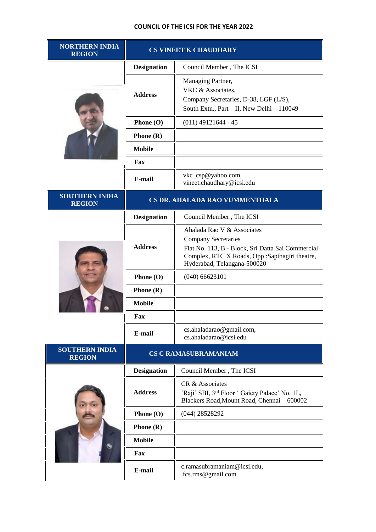| <b>NORTHERN INDIA</b><br><b>REGION</b> | <b>CS VINEET K CHAUDHARY</b>   |                                                                                                                                                                                                |
|----------------------------------------|--------------------------------|------------------------------------------------------------------------------------------------------------------------------------------------------------------------------------------------|
|                                        | <b>Designation</b>             | Council Member, The ICSI                                                                                                                                                                       |
|                                        | <b>Address</b>                 | Managing Partner,<br>VKC & Associates,<br>Company Secretaries, D-38, LGF (L/S),<br>South Extn., Part - II, New Delhi - 110049                                                                  |
|                                        | Phone $(O)$                    | $(011)$ 49121644 - 45                                                                                                                                                                          |
|                                        | Phone $(R)$                    |                                                                                                                                                                                                |
|                                        | <b>Mobile</b>                  |                                                                                                                                                                                                |
|                                        | Fax                            |                                                                                                                                                                                                |
|                                        | E-mail                         | vkc_csp@yahoo.com,<br>vineet.chaudhary@icsi.edu                                                                                                                                                |
| <b>SOUTHERN INDIA</b><br><b>REGION</b> | CS DR. AHALADA RAO VUMMENTHALA |                                                                                                                                                                                                |
|                                        | <b>Designation</b>             | Council Member, The ICSI                                                                                                                                                                       |
|                                        | <b>Address</b>                 | Ahalada Rao V & Associates<br><b>Company Secretaries</b><br>Flat No. 113, B - Block, Sri Datta Sai Commercial<br>Complex, RTC X Roads, Opp :Sapthagiri theatre,<br>Hyderabad, Telangana-500020 |
|                                        | Phone (O)                      | $(040)$ 66623101                                                                                                                                                                               |
|                                        | <b>Phone</b> $(R)$             |                                                                                                                                                                                                |
|                                        | <b>Mobile</b>                  |                                                                                                                                                                                                |
|                                        | Fax                            |                                                                                                                                                                                                |
|                                        | E-mail                         | cs.ahaladarao@gmail.com,<br>cs.ahaladarao@icsi.edu                                                                                                                                             |
| <b>SOUTHERN INDIA</b><br><b>REGION</b> | <b>CS C RAMASUBRAMANIAM</b>    |                                                                                                                                                                                                |
|                                        | <b>Designation</b>             | Council Member, The ICSI                                                                                                                                                                       |
|                                        | <b>Address</b>                 | CR & Associates<br>'Raji' SBI, 3rd Floor ' Gaiety Palace' No. 1L,<br>Blackers Road, Mount Road, Chennai - 600002                                                                               |
|                                        | Phone (O)                      | $(044)$ 28528292                                                                                                                                                                               |
|                                        | <b>Phone</b> $(R)$             |                                                                                                                                                                                                |
|                                        | <b>Mobile</b>                  |                                                                                                                                                                                                |
|                                        | Fax                            |                                                                                                                                                                                                |
|                                        | E-mail                         | c.ramasubramaniam@icsi.edu,<br>fcs.rms@gmail.com                                                                                                                                               |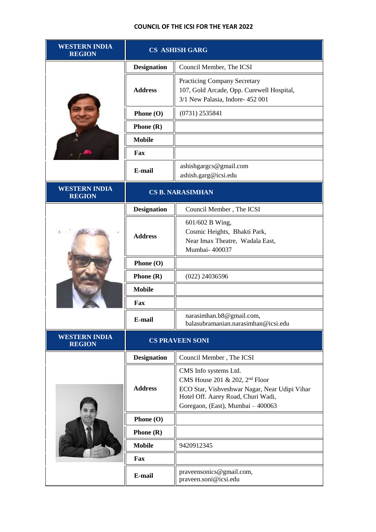| <b>WESTERN INDIA</b><br><b>REGION</b> | <b>CS ASHISH GARG</b>   |                                                                                                                                                                                                 |
|---------------------------------------|-------------------------|-------------------------------------------------------------------------------------------------------------------------------------------------------------------------------------------------|
|                                       | <b>Designation</b>      | Council Member, The ICSI                                                                                                                                                                        |
|                                       | <b>Address</b>          | <b>Practicing Company Secretary</b><br>107, Gold Arcade, Opp. Curewell Hospital,<br>3/1 New Palasia, Indore- 452 001                                                                            |
|                                       | Phone (O)               | $(0731)$ 2535841                                                                                                                                                                                |
|                                       | <b>Phone</b> $(R)$      |                                                                                                                                                                                                 |
|                                       | <b>Mobile</b>           |                                                                                                                                                                                                 |
|                                       | Fax                     |                                                                                                                                                                                                 |
|                                       | E-mail                  | ashishgargcs@gmail.com<br>ashish.garg@icsi.edu                                                                                                                                                  |
| <b>WESTERN INDIA</b><br><b>REGION</b> | <b>CS B. NARASIMHAN</b> |                                                                                                                                                                                                 |
|                                       | <b>Designation</b>      | Council Member, The ICSI                                                                                                                                                                        |
|                                       | <b>Address</b>          | 601/602 B Wing,<br>Cosmic Heights, Bhakti Park,<br>Near Imax Theatre, Wadala East,<br>Mumbai- 400037                                                                                            |
|                                       | Phone (O)               |                                                                                                                                                                                                 |
|                                       | <b>Phone</b> $(R)$      | $(022)$ 24036596                                                                                                                                                                                |
|                                       | <b>Mobile</b>           |                                                                                                                                                                                                 |
|                                       | Fax                     |                                                                                                                                                                                                 |
|                                       | E-mail                  | narasimhan.b8@gmail.com,<br>balasubramanian.narasimhan@icsi.edu                                                                                                                                 |
| <b>WESTERN INDIA</b><br><b>REGION</b> | <b>CS PRAVEEN SONI</b>  |                                                                                                                                                                                                 |
|                                       | <b>Designation</b>      | Council Member, The ICSI                                                                                                                                                                        |
|                                       | <b>Address</b>          | CMS Info systems Ltd.<br>CMS House 201 & 202, 2 <sup>nd</sup> Floor<br>ECO Star, Vishveshwar Nagar, Near Udipi Vihar<br>Hotel Off. Aarey Road, Churi Wadi,<br>Goregaon, (East), Mumbai - 400063 |
|                                       | Phone (O)               |                                                                                                                                                                                                 |
|                                       | <b>Phone</b> $(R)$      |                                                                                                                                                                                                 |
|                                       | <b>Mobile</b>           | 9420912345                                                                                                                                                                                      |
|                                       | Fax                     |                                                                                                                                                                                                 |
|                                       | E-mail                  | praveensonics@gmail.com,<br>praveen.soni@icsi.edu                                                                                                                                               |